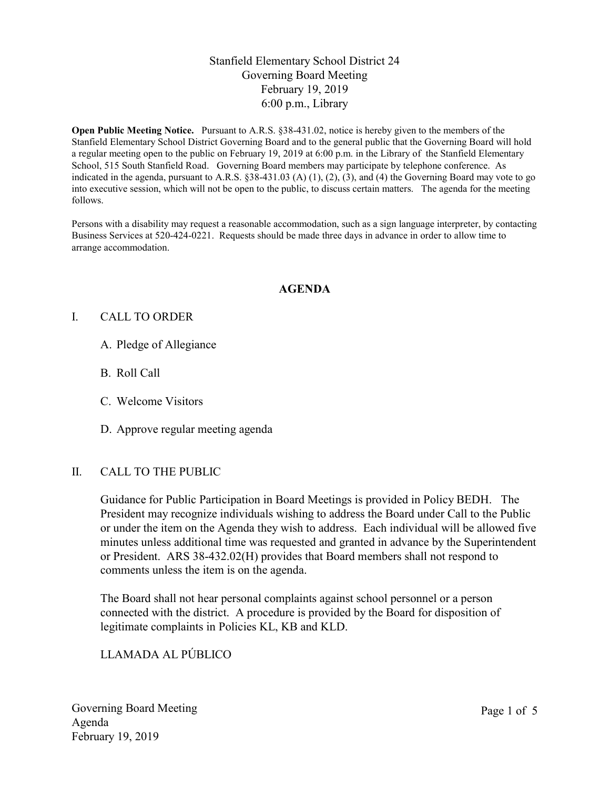## Stanfield Elementary School District 24 Governing Board Meeting February 19, 2019 6:00 p.m., Library

Open Public Meeting Notice. Pursuant to A.R.S. §38-431.02, notice is hereby given to the members of the Stanfield Elementary School District Governing Board and to the general public that the Governing Board will hold a regular meeting open to the public on February 19, 2019 at 6:00 p.m. in the Library of the Stanfield Elementary School, 515 South Stanfield Road. Governing Board members may participate by telephone conference. As indicated in the agenda, pursuant to A.R.S.  $\S 38-431.03$  (A) (1), (2), (3), and (4) the Governing Board may vote to go into executive session, which will not be open to the public, to discuss certain matters. The agenda for the meeting follows.

Persons with a disability may request a reasonable accommodation, such as a sign language interpreter, by contacting Business Services at 520-424-0221. Requests should be made three days in advance in order to allow time to arrange accommodation.

### AGENDA

### I. CALL TO ORDER

- A. Pledge of Allegiance
- B. Roll Call
- C. Welcome Visitors
- D. Approve regular meeting agenda

#### II. CALL TO THE PUBLIC

Guidance for Public Participation in Board Meetings is provided in Policy BEDH. The President may recognize individuals wishing to address the Board under Call to the Public or under the item on the Agenda they wish to address. Each individual will be allowed five minutes unless additional time was requested and granted in advance by the Superintendent or President. ARS 38-432.02(H) provides that Board members shall not respond to comments unless the item is on the agenda.

The Board shall not hear personal complaints against school personnel or a person connected with the district. A procedure is provided by the Board for disposition of legitimate complaints in Policies KL, KB and KLD.

LLAMADA AL PÚBLICO

Governing Board Meeting Agenda February 19, 2019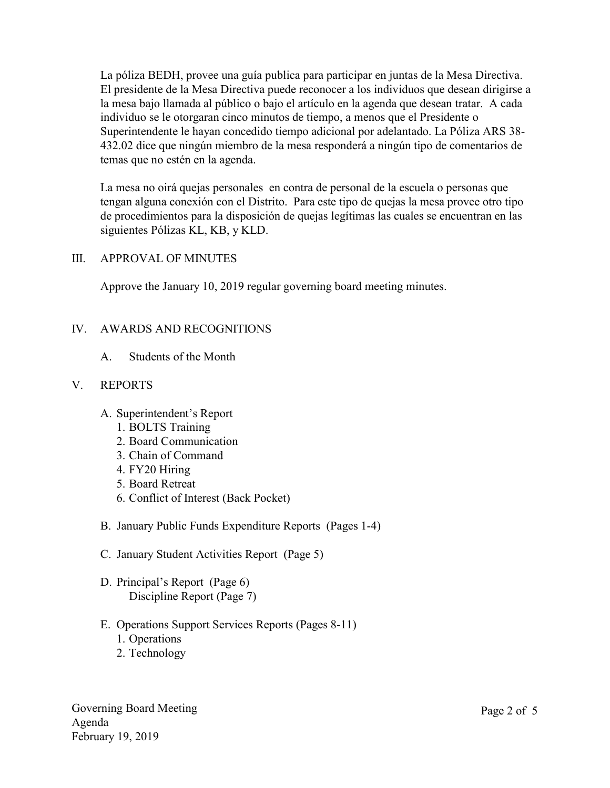La póliza BEDH, provee una guía publica para participar en juntas de la Mesa Directiva. El presidente de la Mesa Directiva puede reconocer a los individuos que desean dirigirse a la mesa bajo llamada al público o bajo el artículo en la agenda que desean tratar. A cada individuo se le otorgaran cinco minutos de tiempo, a menos que el Presidente o Superintendente le hayan concedido tiempo adicional por adelantado. La Póliza ARS 38- 432.02 dice que ningún miembro de la mesa responderá a ningún tipo de comentarios de temas que no estén en la agenda.

La mesa no oirá quejas personales en contra de personal de la escuela o personas que tengan alguna conexión con el Distrito. Para este tipo de quejas la mesa provee otro tipo de procedimientos para la disposición de quejas legítimas las cuales se encuentran en las siguientes Pólizas KL, KB, y KLD.

### III. APPROVAL OF MINUTES

Approve the January 10, 2019 regular governing board meeting minutes.

## IV. AWARDS AND RECOGNITIONS

A. Students of the Month

#### V. REPORTS

- A. Superintendent's Report
	- 1. BOLTS Training
	- 2. Board Communication
	- 3. Chain of Command
	- 4. FY20 Hiring
	- 5. Board Retreat
	- 6. Conflict of Interest (Back Pocket)
- B. January Public Funds Expenditure Reports (Pages 1-4)
- C. January Student Activities Report (Page 5)
- D. Principal's Report (Page 6) Discipline Report (Page 7)
- E. Operations Support Services Reports (Pages 8-11)
	- 1. Operations
	- 2. Technology

Governing Board Meeting Agenda February 19, 2019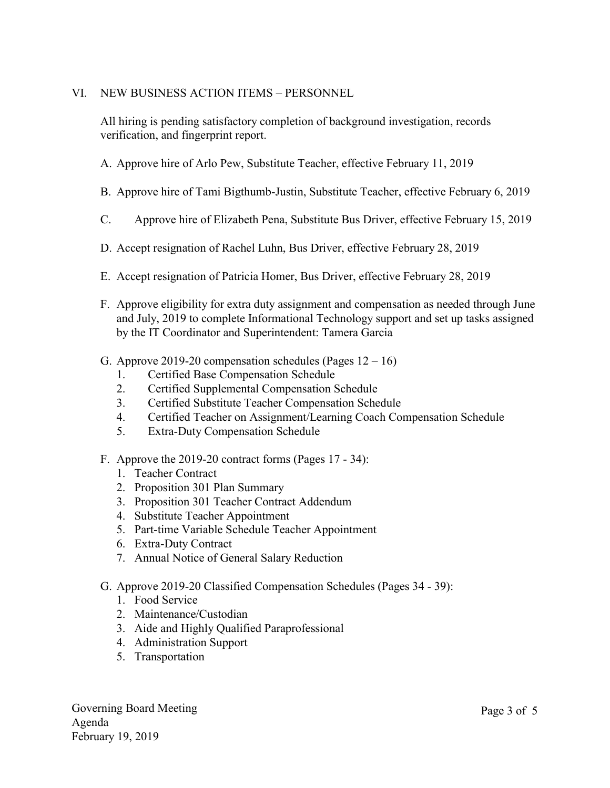## VI. NEW BUSINESS ACTION ITEMS – PERSONNEL

All hiring is pending satisfactory completion of background investigation, records verification, and fingerprint report.

- A. Approve hire of Arlo Pew, Substitute Teacher, effective February 11, 2019
- B. Approve hire of Tami Bigthumb-Justin, Substitute Teacher, effective February 6, 2019
- C. Approve hire of Elizabeth Pena, Substitute Bus Driver, effective February 15, 2019
- D. Accept resignation of Rachel Luhn, Bus Driver, effective February 28, 2019
- E. Accept resignation of Patricia Homer, Bus Driver, effective February 28, 2019
- F. Approve eligibility for extra duty assignment and compensation as needed through June and July, 2019 to complete Informational Technology support and set up tasks assigned by the IT Coordinator and Superintendent: Tamera Garcia
- G. Approve 2019-20 compensation schedules (Pages  $12 16$ )
	- 1. Certified Base Compensation Schedule
	- 2. Certified Supplemental Compensation Schedule
	- 3. Certified Substitute Teacher Compensation Schedule
	- 4. Certified Teacher on Assignment/Learning Coach Compensation Schedule
	- 5. Extra-Duty Compensation Schedule
- F. Approve the 2019-20 contract forms (Pages 17 34):
	- 1. Teacher Contract
	- 2. Proposition 301 Plan Summary
	- 3. Proposition 301 Teacher Contract Addendum
	- 4. Substitute Teacher Appointment
	- 5. Part-time Variable Schedule Teacher Appointment
	- 6. Extra-Duty Contract
	- 7. Annual Notice of General Salary Reduction
- G. Approve 2019-20 Classified Compensation Schedules (Pages 34 39):
	- 1. Food Service
	- 2. Maintenance/Custodian
	- 3. Aide and Highly Qualified Paraprofessional
	- 4. Administration Support
	- 5. Transportation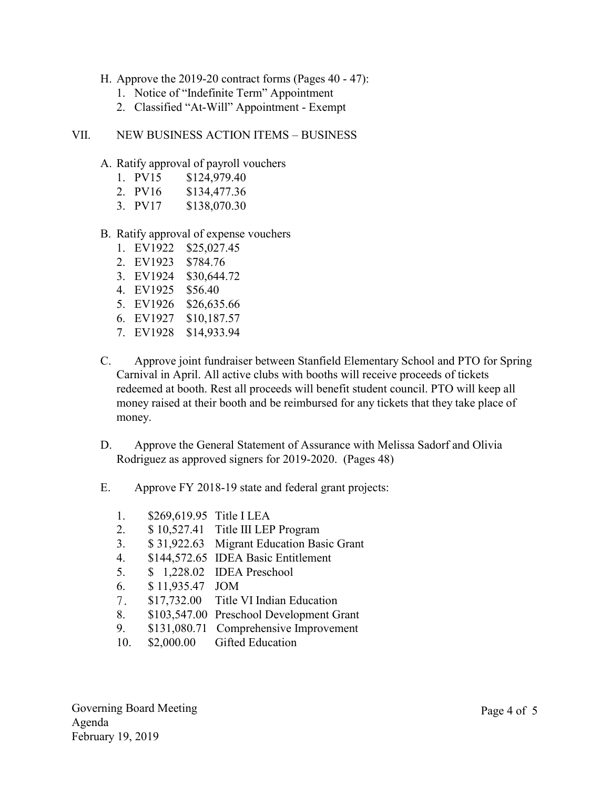- H. Approve the 2019-20 contract forms (Pages 40 47):
	- 1. Notice of "Indefinite Term" Appointment
	- 2. Classified "At-Will" Appointment Exempt
- VII. NEW BUSINESS ACTION ITEMS BUSINESS
	- A. Ratify approval of payroll vouchers
		- 1. PV15 \$124,979.40
		- 2. PV16 \$134,477.36
		- 3. PV17 \$138,070.30
	- B. Ratify approval of expense vouchers
		- 1. EV1922 \$25,027.45
		- 2. EV1923 \$784.76
		- 3. EV1924 \$30,644.72
		- 4. EV1925 \$56.40
		- 5. EV1926 \$26,635.66
		- 6. EV1927 \$10,187.57
		- 7. EV1928 \$14,933.94
	- C. Approve joint fundraiser between Stanfield Elementary School and PTO for Spring Carnival in April. All active clubs with booths will receive proceeds of tickets redeemed at booth. Rest all proceeds will benefit student council. PTO will keep all money raised at their booth and be reimbursed for any tickets that they take place of money.
	- D. Approve the General Statement of Assurance with Melissa Sadorf and Olivia Rodriguez as approved signers for 2019-2020. (Pages 48)
	- E. Approve FY 2018-19 state and federal grant projects:
		- 1. \$269,619.95 Title I LEA
		- 2. \$ 10,527.41 Title III LEP Program
		- 3. \$ 31,922.63 Migrant Education Basic Grant
		- 4. \$144,572.65 IDEA Basic Entitlement
		- 5. \$ 1,228.02 IDEA Preschool
		- 6. \$ 11,935.47 JOM
		- 7. \$17,732.00 Title VI Indian Education
		- 8. \$103,547.00 Preschool Development Grant
		- 9. \$131,080.71 Comprehensive Improvement
		- 10. \$2,000.00 Gifted Education